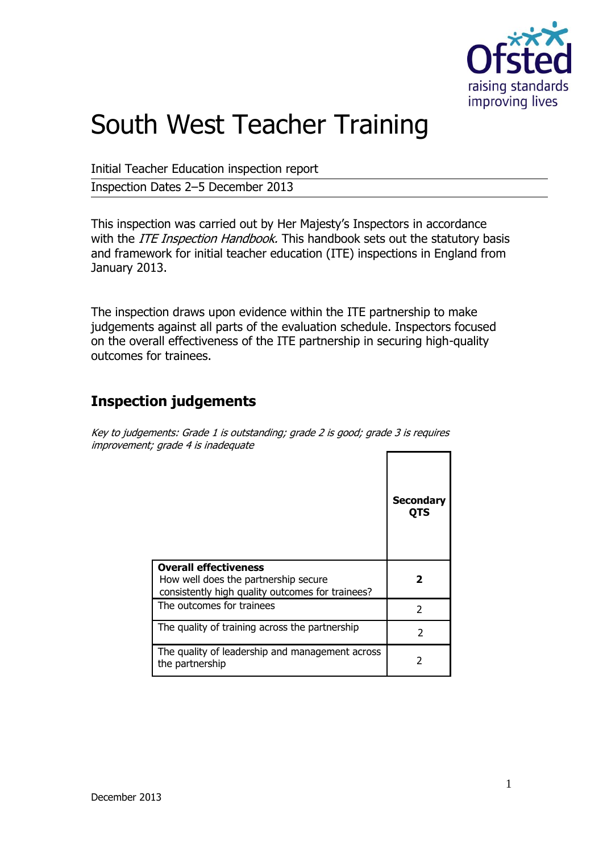

# South West Teacher Training

Initial Teacher Education inspection report

Inspection Dates 2–5 December 2013

This inspection was carried out by Her Majesty's Inspectors in accordance with the *ITE Inspection Handbook*. This handbook sets out the statutory basis and framework for initial teacher education (ITE) inspections in England from January 2013.

The inspection draws upon evidence within the ITE partnership to make judgements against all parts of the evaluation schedule. Inspectors focused on the overall effectiveness of the ITE partnership in securing high-quality outcomes for trainees.

# **Inspection judgements**

Key to judgements: Grade 1 is outstanding; grade 2 is good; grade 3 is requires improvement; grade 4 is inadequate

|                                                                                                                          | <b>Secondary</b><br>QTS |
|--------------------------------------------------------------------------------------------------------------------------|-------------------------|
| <b>Overall effectiveness</b><br>How well does the partnership secure<br>consistently high quality outcomes for trainees? |                         |
| The outcomes for trainees                                                                                                | C                       |
| The quality of training across the partnership                                                                           | 2                       |
| The quality of leadership and management across<br>the partnership                                                       | 7                       |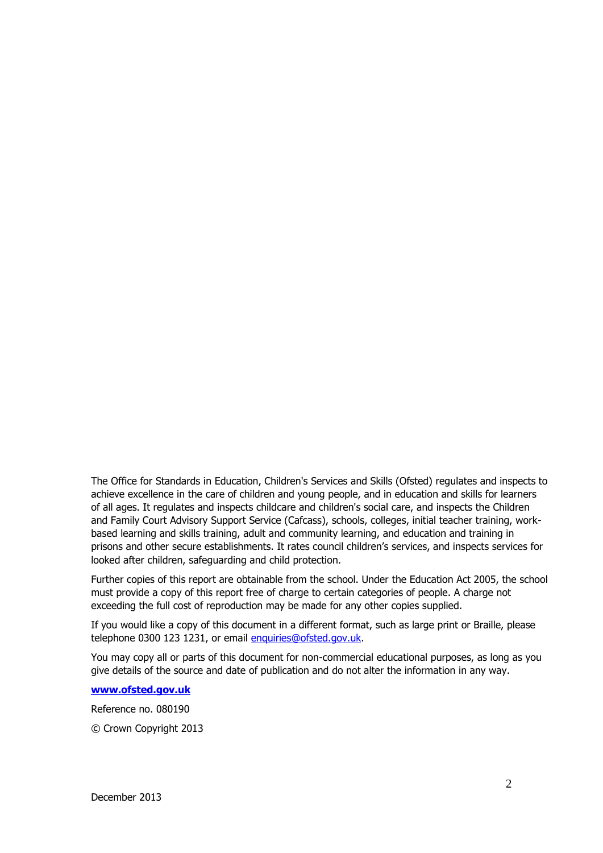The Office for Standards in Education, Children's Services and Skills (Ofsted) regulates and inspects to achieve excellence in the care of children and young people, and in education and skills for learners of all ages. It regulates and inspects childcare and children's social care, and inspects the Children and Family Court Advisory Support Service (Cafcass), schools, colleges, initial teacher training, workbased learning and skills training, adult and community learning, and education and training in prisons and other secure establishments. It rates council children's services, and inspects services for looked after children, safeguarding and child protection.

Further copies of this report are obtainable from the school. Under the Education Act 2005, the school must provide a copy of this report free of charge to certain categories of people. A charge not exceeding the full cost of reproduction may be made for any other copies supplied.

If you would like a copy of this document in a different format, such as large print or Braille, please telephone 0300 123 1231, or email enquiries@ofsted.gov.uk.

You may copy all or parts of this document for non-commercial educational purposes, as long as you give details of the source and date of publication and do not alter the information in any way.

**[www.ofsted.gov.uk](http://www.ofsted.gov.uk/)**

Reference no. 080190

© Crown Copyright 2013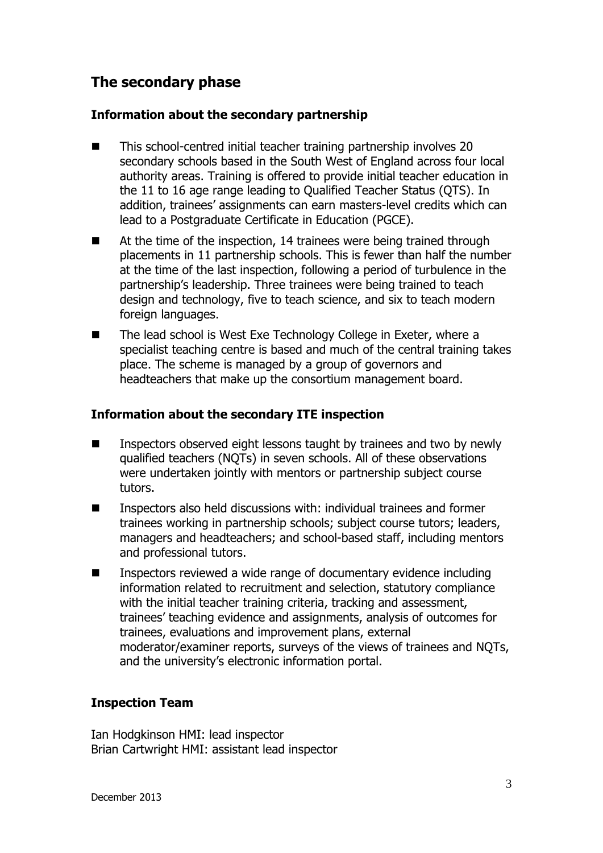# **The secondary phase**

#### **Information about the secondary partnership**

- This school-centred initial teacher training partnership involves 20 secondary schools based in the South West of England across four local authority areas. Training is offered to provide initial teacher education in the 11 to 16 age range leading to Qualified Teacher Status (QTS). In addition, trainees' assignments can earn masters-level credits which can lead to a Postgraduate Certificate in Education (PGCE).
- At the time of the inspection, 14 trainees were being trained through placements in 11 partnership schools. This is fewer than half the number at the time of the last inspection, following a period of turbulence in the partnership's leadership. Three trainees were being trained to teach design and technology, five to teach science, and six to teach modern foreign languages.
- The lead school is West Exe Technology College in Exeter, where a specialist teaching centre is based and much of the central training takes place. The scheme is managed by a group of governors and headteachers that make up the consortium management board.

#### **Information about the secondary ITE inspection**

- Inspectors observed eight lessons taught by trainees and two by newly qualified teachers (NQTs) in seven schools. All of these observations were undertaken jointly with mentors or partnership subject course tutors.
- Inspectors also held discussions with: individual trainees and former trainees working in partnership schools; subject course tutors; leaders, managers and headteachers; and school-based staff, including mentors and professional tutors.
- Inspectors reviewed a wide range of documentary evidence including information related to recruitment and selection, statutory compliance with the initial teacher training criteria, tracking and assessment, trainees' teaching evidence and assignments, analysis of outcomes for trainees, evaluations and improvement plans, external moderator/examiner reports, surveys of the views of trainees and NQTs, and the university's electronic information portal.

#### **Inspection Team**

Ian Hodgkinson HMI: lead inspector Brian Cartwright HMI: assistant lead inspector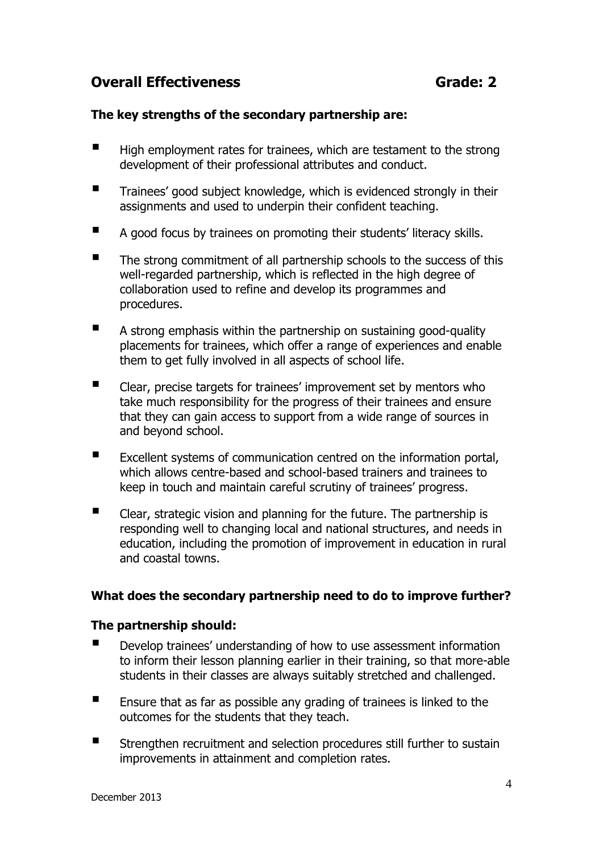## **Overall Effectiveness** Grade: 2

#### **The key strengths of the secondary partnership are:**

- $\blacksquare$  High employment rates for trainees, which are testament to the strong development of their professional attributes and conduct.
- **Trainees' good subject knowledge, which is evidenced strongly in their** assignments and used to underpin their confident teaching.
- A good focus by trainees on promoting their students' literacy skills.
- $\blacksquare$  The strong commitment of all partnership schools to the success of this well-regarded partnership, which is reflected in the high degree of collaboration used to refine and develop its programmes and procedures.
- A strong emphasis within the partnership on sustaining good-quality placements for trainees, which offer a range of experiences and enable them to get fully involved in all aspects of school life.
- Clear, precise targets for trainees' improvement set by mentors who take much responsibility for the progress of their trainees and ensure that they can gain access to support from a wide range of sources in and beyond school.
- Excellent systems of communication centred on the information portal, which allows centre-based and school-based trainers and trainees to keep in touch and maintain careful scrutiny of trainees' progress.
- Clear, strategic vision and planning for the future. The partnership is responding well to changing local and national structures, and needs in education, including the promotion of improvement in education in rural and coastal towns.

#### **What does the secondary partnership need to do to improve further?**

#### **The partnership should:**

- Develop trainees' understanding of how to use assessment information to inform their lesson planning earlier in their training, so that more-able students in their classes are always suitably stretched and challenged.
- $\blacksquare$  Ensure that as far as possible any grading of trainees is linked to the outcomes for the students that they teach.
- Strengthen recruitment and selection procedures still further to sustain improvements in attainment and completion rates.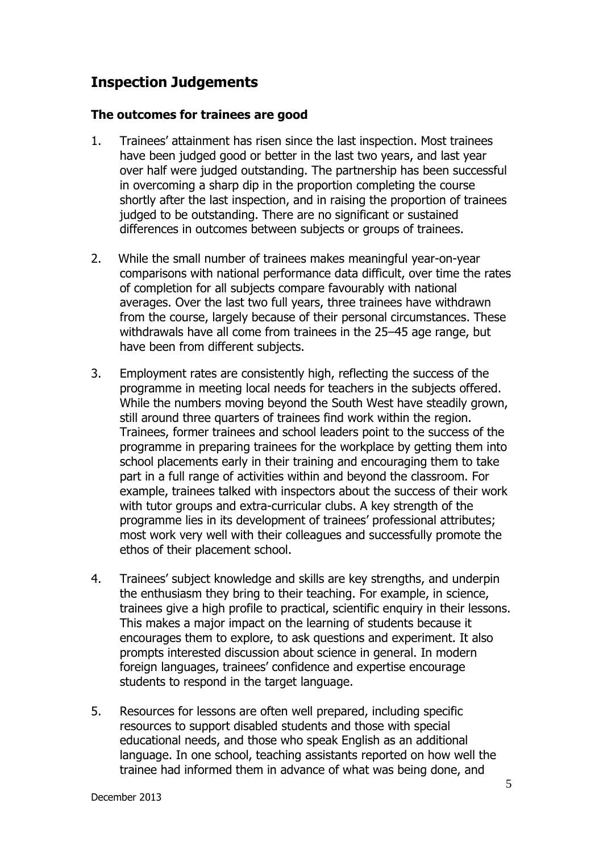## **Inspection Judgements**

#### **The outcomes for trainees are good**

- 1. Trainees' attainment has risen since the last inspection. Most trainees have been judged good or better in the last two years, and last year over half were judged outstanding. The partnership has been successful in overcoming a sharp dip in the proportion completing the course shortly after the last inspection, and in raising the proportion of trainees judged to be outstanding. There are no significant or sustained differences in outcomes between subjects or groups of trainees.
- 2. While the small number of trainees makes meaningful year-on-year comparisons with national performance data difficult, over time the rates of completion for all subjects compare favourably with national averages. Over the last two full years, three trainees have withdrawn from the course, largely because of their personal circumstances. These withdrawals have all come from trainees in the 25–45 age range, but have been from different subjects.
- 3. Employment rates are consistently high, reflecting the success of the programme in meeting local needs for teachers in the subjects offered. While the numbers moving beyond the South West have steadily grown, still around three quarters of trainees find work within the region. Trainees, former trainees and school leaders point to the success of the programme in preparing trainees for the workplace by getting them into school placements early in their training and encouraging them to take part in a full range of activities within and beyond the classroom. For example, trainees talked with inspectors about the success of their work with tutor groups and extra-curricular clubs. A key strength of the programme lies in its development of trainees' professional attributes; most work very well with their colleagues and successfully promote the ethos of their placement school.
- 4. Trainees' subject knowledge and skills are key strengths, and underpin the enthusiasm they bring to their teaching. For example, in science, trainees give a high profile to practical, scientific enquiry in their lessons. This makes a major impact on the learning of students because it encourages them to explore, to ask questions and experiment. It also prompts interested discussion about science in general. In modern foreign languages, trainees' confidence and expertise encourage students to respond in the target language.
- 5. Resources for lessons are often well prepared, including specific resources to support disabled students and those with special educational needs, and those who speak English as an additional language. In one school, teaching assistants reported on how well the trainee had informed them in advance of what was being done, and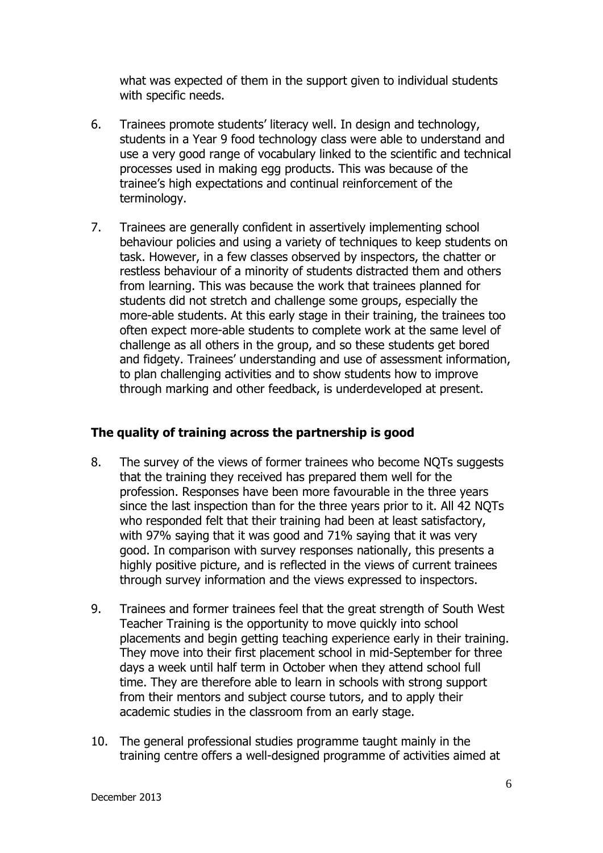what was expected of them in the support given to individual students with specific needs.

- 6. Trainees promote students' literacy well. In design and technology, students in a Year 9 food technology class were able to understand and use a very good range of vocabulary linked to the scientific and technical processes used in making egg products. This was because of the trainee's high expectations and continual reinforcement of the terminology.
- 7. Trainees are generally confident in assertively implementing school behaviour policies and using a variety of techniques to keep students on task. However, in a few classes observed by inspectors, the chatter or restless behaviour of a minority of students distracted them and others from learning. This was because the work that trainees planned for students did not stretch and challenge some groups, especially the more-able students. At this early stage in their training, the trainees too often expect more-able students to complete work at the same level of challenge as all others in the group, and so these students get bored and fidgety. Trainees' understanding and use of assessment information, to plan challenging activities and to show students how to improve through marking and other feedback, is underdeveloped at present.

#### **The quality of training across the partnership is good**

- 8. The survey of the views of former trainees who become NQTs suggests that the training they received has prepared them well for the profession. Responses have been more favourable in the three years since the last inspection than for the three years prior to it. All 42 NQTs who responded felt that their training had been at least satisfactory, with 97% saying that it was good and 71% saying that it was very good. In comparison with survey responses nationally, this presents a highly positive picture, and is reflected in the views of current trainees through survey information and the views expressed to inspectors.
- 9. Trainees and former trainees feel that the great strength of South West Teacher Training is the opportunity to move quickly into school placements and begin getting teaching experience early in their training. They move into their first placement school in mid-September for three days a week until half term in October when they attend school full time. They are therefore able to learn in schools with strong support from their mentors and subject course tutors, and to apply their academic studies in the classroom from an early stage.
- 10. The general professional studies programme taught mainly in the training centre offers a well-designed programme of activities aimed at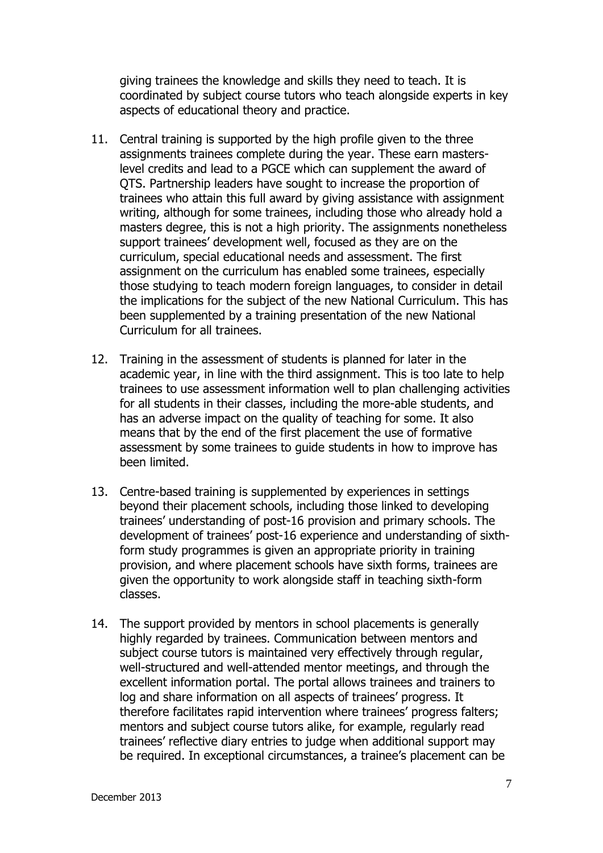giving trainees the knowledge and skills they need to teach. It is coordinated by subject course tutors who teach alongside experts in key aspects of educational theory and practice.

- 11. Central training is supported by the high profile given to the three assignments trainees complete during the year. These earn masterslevel credits and lead to a PGCE which can supplement the award of QTS. Partnership leaders have sought to increase the proportion of trainees who attain this full award by giving assistance with assignment writing, although for some trainees, including those who already hold a masters degree, this is not a high priority. The assignments nonetheless support trainees' development well, focused as they are on the curriculum, special educational needs and assessment. The first assignment on the curriculum has enabled some trainees, especially those studying to teach modern foreign languages, to consider in detail the implications for the subject of the new National Curriculum. This has been supplemented by a training presentation of the new National Curriculum for all trainees.
- 12. Training in the assessment of students is planned for later in the academic year, in line with the third assignment. This is too late to help trainees to use assessment information well to plan challenging activities for all students in their classes, including the more-able students, and has an adverse impact on the quality of teaching for some. It also means that by the end of the first placement the use of formative assessment by some trainees to guide students in how to improve has been limited.
- 13. Centre-based training is supplemented by experiences in settings beyond their placement schools, including those linked to developing trainees' understanding of post-16 provision and primary schools. The development of trainees' post-16 experience and understanding of sixthform study programmes is given an appropriate priority in training provision, and where placement schools have sixth forms, trainees are given the opportunity to work alongside staff in teaching sixth-form classes.
- 14. The support provided by mentors in school placements is generally highly regarded by trainees. Communication between mentors and subject course tutors is maintained very effectively through regular, well-structured and well-attended mentor meetings, and through the excellent information portal. The portal allows trainees and trainers to log and share information on all aspects of trainees' progress. It therefore facilitates rapid intervention where trainees' progress falters; mentors and subject course tutors alike, for example, regularly read trainees' reflective diary entries to judge when additional support may be required. In exceptional circumstances, a trainee's placement can be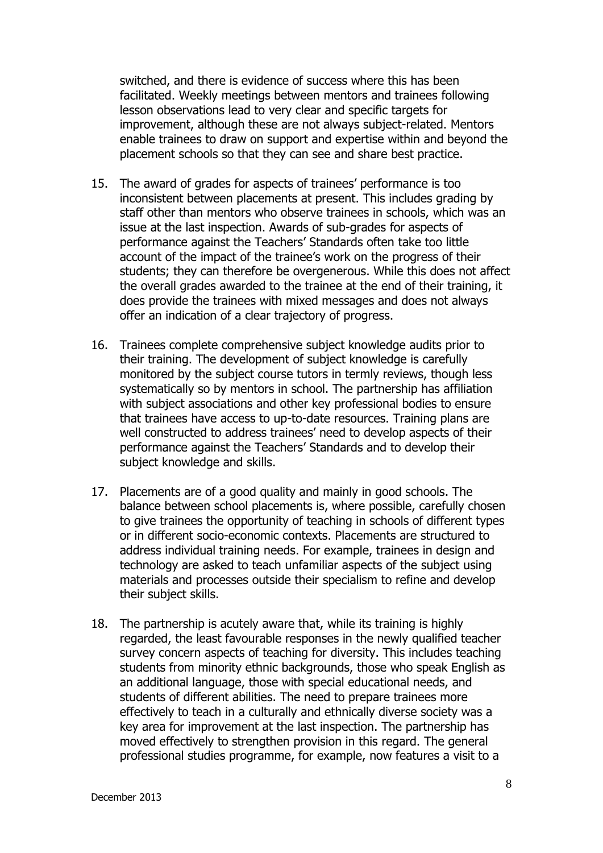switched, and there is evidence of success where this has been facilitated. Weekly meetings between mentors and trainees following lesson observations lead to very clear and specific targets for improvement, although these are not always subject-related. Mentors enable trainees to draw on support and expertise within and beyond the placement schools so that they can see and share best practice.

- 15. The award of grades for aspects of trainees' performance is too inconsistent between placements at present. This includes grading by staff other than mentors who observe trainees in schools, which was an issue at the last inspection. Awards of sub-grades for aspects of performance against the Teachers' Standards often take too little account of the impact of the trainee's work on the progress of their students; they can therefore be overgenerous. While this does not affect the overall grades awarded to the trainee at the end of their training, it does provide the trainees with mixed messages and does not always offer an indication of a clear trajectory of progress.
- 16. Trainees complete comprehensive subject knowledge audits prior to their training. The development of subject knowledge is carefully monitored by the subject course tutors in termly reviews, though less systematically so by mentors in school. The partnership has affiliation with subject associations and other key professional bodies to ensure that trainees have access to up-to-date resources. Training plans are well constructed to address trainees' need to develop aspects of their performance against the Teachers' Standards and to develop their subject knowledge and skills.
- 17. Placements are of a good quality and mainly in good schools. The balance between school placements is, where possible, carefully chosen to give trainees the opportunity of teaching in schools of different types or in different socio-economic contexts. Placements are structured to address individual training needs. For example, trainees in design and technology are asked to teach unfamiliar aspects of the subject using materials and processes outside their specialism to refine and develop their subject skills.
- 18. The partnership is acutely aware that, while its training is highly regarded, the least favourable responses in the newly qualified teacher survey concern aspects of teaching for diversity. This includes teaching students from minority ethnic backgrounds, those who speak English as an additional language, those with special educational needs, and students of different abilities. The need to prepare trainees more effectively to teach in a culturally and ethnically diverse society was a key area for improvement at the last inspection. The partnership has moved effectively to strengthen provision in this regard. The general professional studies programme, for example, now features a visit to a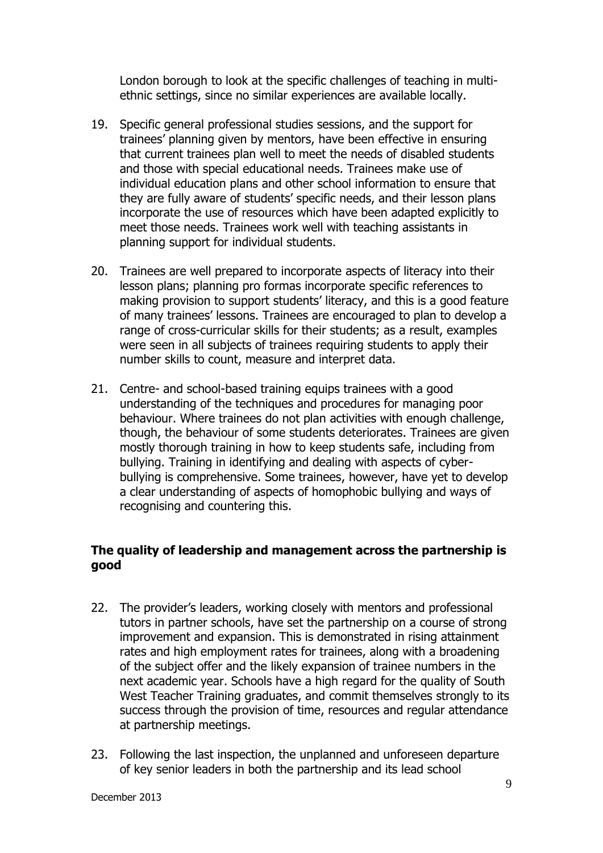London borough to look at the specific challenges of teaching in multiethnic settings, since no similar experiences are available locally.

- 19. Specific general professional studies sessions, and the support for trainees' planning given by mentors, have been effective in ensuring that current trainees plan well to meet the needs of disabled students and those with special educational needs. Trainees make use of individual education plans and other school information to ensure that they are fully aware of students' specific needs, and their lesson plans incorporate the use of resources which have been adapted explicitly to meet those needs. Trainees work well with teaching assistants in planning support for individual students.
- 20. Trainees are well prepared to incorporate aspects of literacy into their lesson plans; planning pro formas incorporate specific references to making provision to support students' literacy, and this is a good feature of many trainees' lessons. Trainees are encouraged to plan to develop a range of cross-curricular skills for their students; as a result, examples were seen in all subjects of trainees requiring students to apply their number skills to count, measure and interpret data.
- 21. Centre- and school-based training equips trainees with a good understanding of the techniques and procedures for managing poor behaviour. Where trainees do not plan activities with enough challenge, though, the behaviour of some students deteriorates. Trainees are given mostly thorough training in how to keep students safe, including from bullying. Training in identifying and dealing with aspects of cyberbullying is comprehensive. Some trainees, however, have yet to develop a clear understanding of aspects of homophobic bullying and ways of recognising and countering this.

#### **The quality of leadership and management across the partnership is good**

- 22. The provider's leaders, working closely with mentors and professional tutors in partner schools, have set the partnership on a course of strong improvement and expansion. This is demonstrated in rising attainment rates and high employment rates for trainees, along with a broadening of the subject offer and the likely expansion of trainee numbers in the next academic year. Schools have a high regard for the quality of South West Teacher Training graduates, and commit themselves strongly to its success through the provision of time, resources and regular attendance at partnership meetings.
- 23. Following the last inspection, the unplanned and unforeseen departure of key senior leaders in both the partnership and its lead school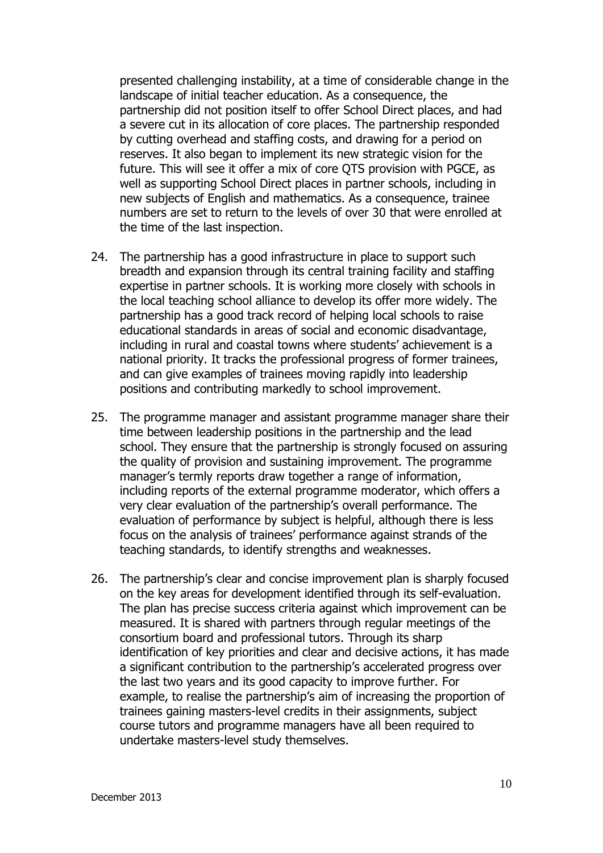presented challenging instability, at a time of considerable change in the landscape of initial teacher education. As a consequence, the partnership did not position itself to offer School Direct places, and had a severe cut in its allocation of core places. The partnership responded by cutting overhead and staffing costs, and drawing for a period on reserves. It also began to implement its new strategic vision for the future. This will see it offer a mix of core QTS provision with PGCE, as well as supporting School Direct places in partner schools, including in new subjects of English and mathematics. As a consequence, trainee numbers are set to return to the levels of over 30 that were enrolled at the time of the last inspection.

- 24. The partnership has a good infrastructure in place to support such breadth and expansion through its central training facility and staffing expertise in partner schools. It is working more closely with schools in the local teaching school alliance to develop its offer more widely. The partnership has a good track record of helping local schools to raise educational standards in areas of social and economic disadvantage, including in rural and coastal towns where students' achievement is a national priority. It tracks the professional progress of former trainees, and can give examples of trainees moving rapidly into leadership positions and contributing markedly to school improvement.
- 25. The programme manager and assistant programme manager share their time between leadership positions in the partnership and the lead school. They ensure that the partnership is strongly focused on assuring the quality of provision and sustaining improvement. The programme manager's termly reports draw together a range of information, including reports of the external programme moderator, which offers a very clear evaluation of the partnership's overall performance. The evaluation of performance by subject is helpful, although there is less focus on the analysis of trainees' performance against strands of the teaching standards, to identify strengths and weaknesses.
- 26. The partnership's clear and concise improvement plan is sharply focused on the key areas for development identified through its self-evaluation. The plan has precise success criteria against which improvement can be measured. It is shared with partners through regular meetings of the consortium board and professional tutors. Through its sharp identification of key priorities and clear and decisive actions, it has made a significant contribution to the partnership's accelerated progress over the last two years and its good capacity to improve further. For example, to realise the partnership's aim of increasing the proportion of trainees gaining masters-level credits in their assignments, subject course tutors and programme managers have all been required to undertake masters-level study themselves.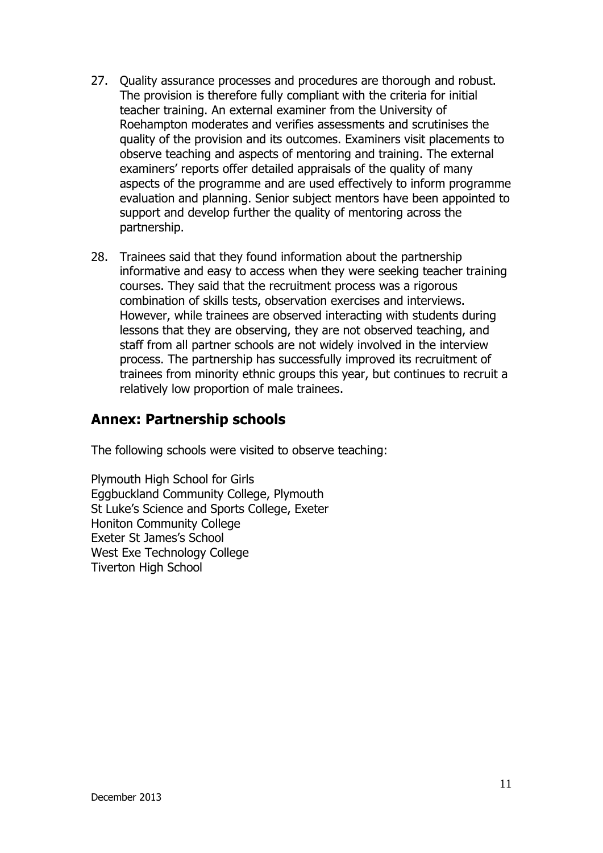- 27. Quality assurance processes and procedures are thorough and robust. The provision is therefore fully compliant with the criteria for initial teacher training. An external examiner from the University of Roehampton moderates and verifies assessments and scrutinises the quality of the provision and its outcomes. Examiners visit placements to observe teaching and aspects of mentoring and training. The external examiners' reports offer detailed appraisals of the quality of many aspects of the programme and are used effectively to inform programme evaluation and planning. Senior subject mentors have been appointed to support and develop further the quality of mentoring across the partnership.
- 28. Trainees said that they found information about the partnership informative and easy to access when they were seeking teacher training courses. They said that the recruitment process was a rigorous combination of skills tests, observation exercises and interviews. However, while trainees are observed interacting with students during lessons that they are observing, they are not observed teaching, and staff from all partner schools are not widely involved in the interview process. The partnership has successfully improved its recruitment of trainees from minority ethnic groups this year, but continues to recruit a relatively low proportion of male trainees.

## **Annex: Partnership schools**

The following schools were visited to observe teaching:

Plymouth High School for Girls Eggbuckland Community College, Plymouth St Luke's Science and Sports College, Exeter Honiton Community College Exeter St James's School West Exe Technology College Tiverton High School